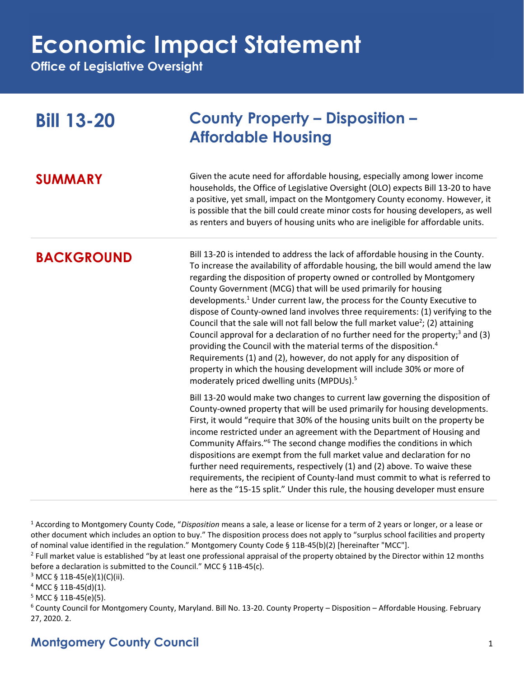**Office of Legislative Oversight**

| <b>Bill 13-20</b> | <b>County Property - Disposition -</b><br><b>Affordable Housing</b>                                                                                                                                                                                                                                                                                                                                                                                                                                                                                                                                                                                                                                                                                                                                                                                                                                                                                                                         |
|-------------------|---------------------------------------------------------------------------------------------------------------------------------------------------------------------------------------------------------------------------------------------------------------------------------------------------------------------------------------------------------------------------------------------------------------------------------------------------------------------------------------------------------------------------------------------------------------------------------------------------------------------------------------------------------------------------------------------------------------------------------------------------------------------------------------------------------------------------------------------------------------------------------------------------------------------------------------------------------------------------------------------|
| <b>SUMMARY</b>    | Given the acute need for affordable housing, especially among lower income<br>households, the Office of Legislative Oversight (OLO) expects Bill 13-20 to have<br>a positive, yet small, impact on the Montgomery County economy. However, it<br>is possible that the bill could create minor costs for housing developers, as well<br>as renters and buyers of housing units who are ineligible for affordable units.                                                                                                                                                                                                                                                                                                                                                                                                                                                                                                                                                                      |
| <b>BACKGROUND</b> | Bill 13-20 is intended to address the lack of affordable housing in the County.<br>To increase the availability of affordable housing, the bill would amend the law<br>regarding the disposition of property owned or controlled by Montgomery<br>County Government (MCG) that will be used primarily for housing<br>developments. <sup>1</sup> Under current law, the process for the County Executive to<br>dispose of County-owned land involves three requirements: (1) verifying to the<br>Council that the sale will not fall below the full market value <sup>2</sup> ; (2) attaining<br>Council approval for a declaration of no further need for the property; <sup>3</sup> and (3)<br>providing the Council with the material terms of the disposition. <sup>4</sup><br>Requirements (1) and (2), however, do not apply for any disposition of<br>property in which the housing development will include 30% or more of<br>moderately priced dwelling units (MPDUs). <sup>5</sup> |
|                   | Bill 13-20 would make two changes to current law governing the disposition of<br>County-owned property that will be used primarily for housing developments.<br>First, it would "require that 30% of the housing units built on the property be<br>income restricted under an agreement with the Department of Housing and<br>Community Affairs." <sup>6</sup> The second change modifies the conditions in which<br>dispositions are exempt from the full market value and declaration for no<br>further need requirements, respectively (1) and (2) above. To waive these<br>requirements, the recipient of County-land must commit to what is referred to<br>here as the "15-15 split." Under this rule, the housing developer must ensure                                                                                                                                                                                                                                               |

<sup>1</sup> According to Montgomery County Code, "*Disposition* means a sale, a lease or license for a term of 2 years or longer, or a lease or other document which includes an option to buy." The disposition process does not apply to "surplus school facilities and property of nominal value identified in the regulation." Montgomery County Code § 11B-45(b)(2) [hereinafter "MCC"].

 $^2$  Full market value is established "by at least one professional appraisal of the property obtained by the Director within 12 months before a declaration is submitted to the Council." MCC § 11B-45(c).

<sup>3</sup> MCC § 11B-45(e)(1)(C)(ii).

 $4$  MCC § 11B-45(d)(1).

 $5$  MCC § 11B-45(e)(5).

<sup>6</sup> County Council for Montgomery County, Maryland. Bill No. 13-20. County Property – Disposition – Affordable Housing. February 27, 2020. 2.

### **Montgomery County Council** 1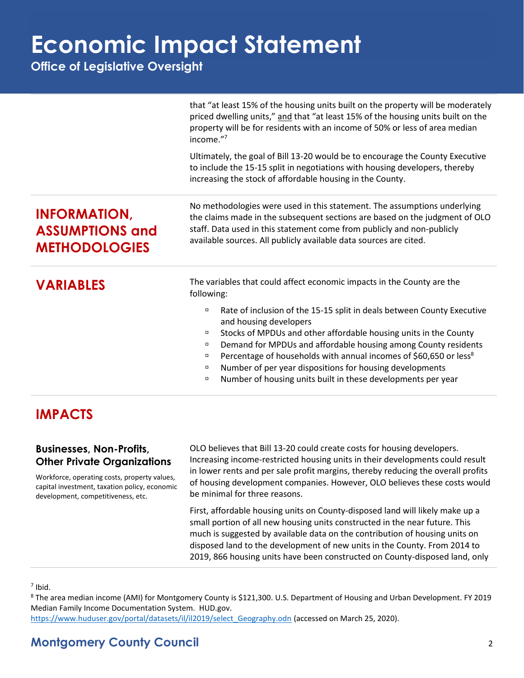**Office of Legislative Oversight**

|                                                                       | that "at least 15% of the housing units built on the property will be moderately<br>priced dwelling units," and that "at least 15% of the housing units built on the<br>property will be for residents with an income of 50% or less of area median<br>income."7<br>Ultimately, the goal of Bill 13-20 would be to encourage the County Executive<br>to include the 15-15 split in negotiations with housing developers, thereby<br>increasing the stock of affordable housing in the County.                                                                                            |
|-----------------------------------------------------------------------|------------------------------------------------------------------------------------------------------------------------------------------------------------------------------------------------------------------------------------------------------------------------------------------------------------------------------------------------------------------------------------------------------------------------------------------------------------------------------------------------------------------------------------------------------------------------------------------|
| <b>INFORMATION,</b><br><b>ASSUMPTIONS and</b><br><b>METHODOLOGIES</b> | No methodologies were used in this statement. The assumptions underlying<br>the claims made in the subsequent sections are based on the judgment of OLO<br>staff. Data used in this statement come from publicly and non-publicly<br>available sources. All publicly available data sources are cited.                                                                                                                                                                                                                                                                                   |
| <b>VARIABLES</b>                                                      | The variables that could affect economic impacts in the County are the<br>following:<br>Rate of inclusion of the 15-15 split in deals between County Executive<br>$\Box$<br>and housing developers<br>Stocks of MPDUs and other affordable housing units in the County<br>α<br>Demand for MPDUs and affordable housing among County residents<br>α<br>Percentage of households with annual incomes of \$60,650 or less <sup>8</sup><br>α<br>Number of per year dispositions for housing developments<br>$\Box$<br>Number of housing units built in these developments per year<br>$\Box$ |

### **IMPACTS**

#### **Businesses, Non-Profits, Other Private Organizations**

Workforce, operating costs, property values, capital investment, taxation policy, economic development, competitiveness, etc.

OLO believes that Bill 13-20 could create costs for housing developers. Increasing income-restricted housing units in their developments could result in lower rents and per sale profit margins, thereby reducing the overall profits of housing development companies. However, OLO believes these costs would be minimal for three reasons.

First, affordable housing units on County-disposed land will likely make up a small portion of all new housing units constructed in the near future. This much is suggested by available data on the contribution of housing units on disposed land to the development of new units in the County. From 2014 to 2019, 866 housing units have been constructed on County-disposed land, only

#### 7 Ibid.

<sup>8</sup> The area median income (AMI) for Montgomery County is \$121,300. U.S. Department of Housing and Urban Development. FY 2019 Median Family Income Documentation System. HUD.gov.

[https://www.huduser.gov/portal/datasets/il/il2019/select\\_Geography.odn](https://www.huduser.gov/portal/datasets/il/il2019/select_Geography.odn) (accessed on March 25, 2020).

### **Montgomery County Council** 2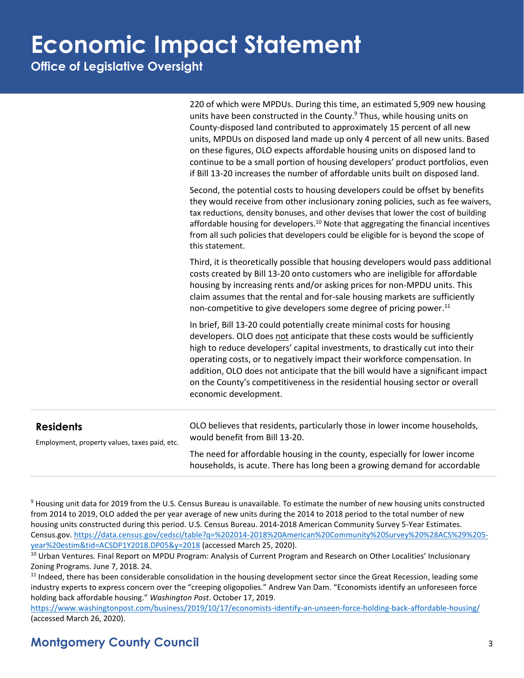**Office of Legislative Oversight**

220 of which were MPDUs. During this time, an estimated 5,909 new housing units have been constructed in the County. $9$  Thus, while housing units on County-disposed land contributed to approximately 15 percent of all new units, MPDUs on disposed land made up only 4 percent of all new units. Based on these figures, OLO expects affordable housing units on disposed land to continue to be a small portion of housing developers' product portfolios, even if Bill 13-20 increases the number of affordable units built on disposed land.

Second, the potential costs to housing developers could be offset by benefits they would receive from other inclusionary zoning policies, such as fee waivers, tax reductions, density bonuses, and other devises that lower the cost of building affordable housing for developers.<sup>10</sup> Note that aggregating the financial incentives from all such policies that developers could be eligible for is beyond the scope of this statement.

Third, it is theoretically possible that housing developers would pass additional costs created by Bill 13-20 onto customers who are ineligible for affordable housing by increasing rents and/or asking prices for non-MPDU units. This claim assumes that the rental and for-sale housing markets are sufficiently non-competitive to give developers some degree of pricing power.<sup>11</sup>

In brief, Bill 13-20 could potentially create minimal costs for housing developers. OLO does not anticipate that these costs would be sufficiently high to reduce developers' capital investments, to drastically cut into their operating costs, or to negatively impact their workforce compensation. In addition, OLO does not anticipate that the bill would have a significant impact on the County's competitiveness in the residential housing sector or overall economic development.

| <b>Residents</b><br>Employment, property values, taxes paid, etc. | OLO believes that residents, particularly those in lower income households,<br>would benefit from Bill 13-20.                                           |
|-------------------------------------------------------------------|---------------------------------------------------------------------------------------------------------------------------------------------------------|
|                                                                   | The need for affordable housing in the county, especially for lower income<br>households, is acute. There has long been a growing demand for accordable |

<sup>9</sup> Housing unit data for 2019 from the U.S. Census Bureau is unavailable. To estimate the number of new housing units constructed from 2014 to 2019, OLO added the per year average of new units during the 2014 to 2018 period to the total number of new housing units constructed during this period. U.S. Census Bureau. 2014-2018 American Community Survey 5-Year Estimates. Census.gov[. https://data.census.gov/cedsci/table?q=%202014-2018%20American%20Community%20Survey%20%28ACS%29%205](https://data.census.gov/cedsci/table?q=%202014-2018%20American%20Community%20Survey%20%28ACS%29%205-year%20estim&tid=ACSDP1Y2018.DP05&y=2018) [year%20estim&tid=ACSDP1Y2018.DP05&y=2018](https://data.census.gov/cedsci/table?q=%202014-2018%20American%20Community%20Survey%20%28ACS%29%205-year%20estim&tid=ACSDP1Y2018.DP05&y=2018) (accessed March 25, 2020).

<sup>10</sup> Urban Ventures. Final Report on MPDU Program: Analysis of Current Program and Research on Other Localities' Inclusionary Zoning Programs. June 7, 2018. 24.

<sup>11</sup> Indeed, there has been considerable consolidation in the housing development sector since the Great Recession, leading some industry experts to express concern over the "creeping oligopolies." Andrew Van Dam. "Economists identify an unforeseen force holding back affordable housing." *Washington Post*. October 17, 2019.

<https://www.washingtonpost.com/business/2019/10/17/economists-identify-an-unseen-force-holding-back-affordable-housing/> (accessed March 26, 2020).

### **Montgomery County Council** 3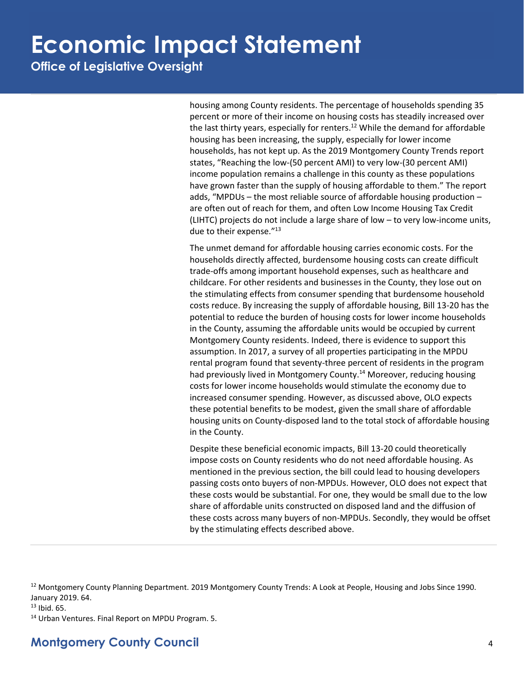**Office of Legislative Oversight**

housing among County residents. The percentage of households spending 35 percent or more of their income on housing costs has steadily increased over the last thirty years, especially for renters.<sup>12</sup> While the demand for affordable housing has been increasing, the supply, especially for lower income households, has not kept up. As the 2019 Montgomery County Trends report states, "Reaching the low-(50 percent AMI) to very low-(30 percent AMI) income population remains a challenge in this county as these populations have grown faster than the supply of housing affordable to them." The report adds, "MPDUs – the most reliable source of affordable housing production – are often out of reach for them, and often Low Income Housing Tax Credit (LIHTC) projects do not include a large share of low – to very low-income units, due to their expense."<sup>13</sup>

The unmet demand for affordable housing carries economic costs. For the households directly affected, burdensome housing costs can create difficult trade-offs among important household expenses, such as healthcare and childcare. For other residents and businesses in the County, they lose out on the stimulating effects from consumer spending that burdensome household costs reduce. By increasing the supply of affordable housing, Bill 13-20 has the potential to reduce the burden of housing costs for lower income households in the County, assuming the affordable units would be occupied by current Montgomery County residents. Indeed, there is evidence to support this assumption. In 2017, a survey of all properties participating in the MPDU rental program found that seventy-three percent of residents in the program had previously lived in Montgomery County.<sup>14</sup> Moreover, reducing housing costs for lower income households would stimulate the economy due to increased consumer spending. However, as discussed above, OLO expects these potential benefits to be modest, given the small share of affordable housing units on County-disposed land to the total stock of affordable housing in the County.

Despite these beneficial economic impacts, Bill 13-20 could theoretically impose costs on County residents who do not need affordable housing. As mentioned in the previous section, the bill could lead to housing developers passing costs onto buyers of non-MPDUs. However, OLO does not expect that these costs would be substantial. For one, they would be small due to the low share of affordable units constructed on disposed land and the diffusion of these costs across many buyers of non-MPDUs. Secondly, they would be offset by the stimulating effects described above.

<sup>13</sup> Ibid. 65.

<sup>14</sup> Urban Ventures. Final Report on MPDU Program. 5.

<sup>&</sup>lt;sup>12</sup> Montgomery County Planning Department. 2019 Montgomery County Trends: A Look at People, Housing and Jobs Since 1990. January 2019. 64.